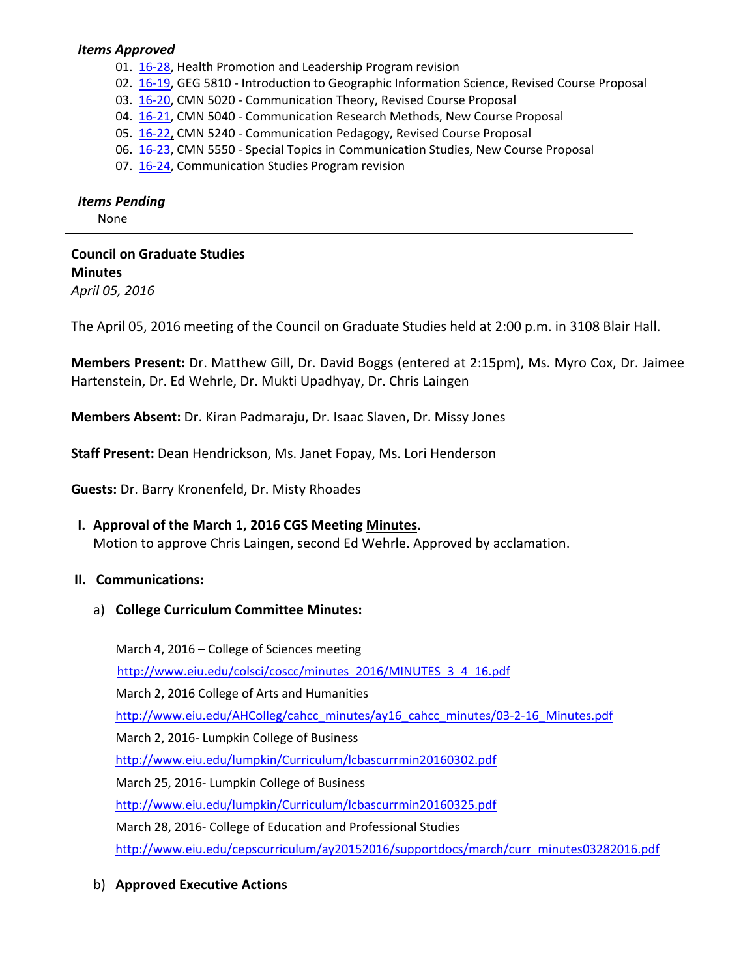#### *Items Approved*

- 01. 16-[28,](http://castle.eiu.edu/~eiucgs/currentagendaitems/agenda16-28.pdf) Health Promotion and Leadership Program revision
- 02. 16-[19,](http://castle.eiu.edu/~eiucgs/currentagendaitems/agenda16-19.pdf) GEG 5810 Introduction to Geographic Information Science, Revised Course Proposal
- 03. 16‐[20,](http://castle.eiu.edu/~eiucgs/currentagendaitems/agenda16-20.pdf) CMN 5020 ‐ Communication Theory, Revised Course Proposal
- 04. 16-[21,](http://castle.eiu.edu/~eiucgs/currentagendaitems/agenda16-21.pdf) CMN 5040 Communication Research Methods, New Course Proposal
- 05. 16‐[22,](http://castle.eiu.edu/~eiucgs/currentagendaitems/agenda16-22.pdf) CMN 5240 ‐ Communication Pedagogy, Revised Course Proposal
- 06. 16‐[23,](http://castle.eiu.edu/~eiucgs/currentagendaitems/agenda16-23.pdf) CMN 5550 ‐ Special Topics in Communication Studies, New Course Proposal
- 07. 16‐[24,](http://castle.eiu.edu/~eiucgs/currentagendaitems/agenda16-24.pdf) Communication Studies Program revision

#### *Items Pending*

None

# **Council on Graduate Studies Minutes**

*April 05, 2016*

The April 05, 2016 meeting of the Council on Graduate Studies held at 2:00 p.m. in 3108 Blair Hall.

**Members Present:** Dr. Matthew Gill, Dr. David Boggs (entered at 2:15pm), Ms. Myro Cox, Dr. Jaimee Hartenstein, Dr. Ed Wehrle, Dr. Mukti Upadhyay, Dr. Chris Laingen

**Members Absent:** Dr. Kiran Padmaraju, Dr. Isaac Slaven, Dr. Missy Jones

**Staff Present:** Dean Hendrickson, Ms. Janet Fopay, Ms. Lori Henderson

**Guests:** Dr. Barry Kronenfeld, Dr. Misty Rhoades

# **I. Approval of the March 1, 2016 CGS Meeting [Minutes.](http://castle.eiu.edu/eiucgs/currentminutes/Minutes03-01-16.pdf)**

Motion to approve Chris Laingen, second Ed Wehrle. Approved by acclamation.

#### **II. Communications:**

a) **College Curriculum Committee Minutes:**

March 4, 2016 – College of Sciences meeting [http://www.eiu.edu/colsci/coscc/minutes\\_2016/MINUTES\\_3\\_4\\_16.pdf](http://www.eiu.edu/colsci/coscc/minutes_2016/MINUTES_3_4_16.pdf) March 2, 2016 College of Arts and Humanities [http://www.eiu.edu/AHColleg/cahcc\\_minutes/ay16\\_cahcc\\_minutes/03](http://www.eiu.edu/AHColleg/cahcc_minutes/ay16_cahcc_minutes/03-2-16_Minutes.pdf)-2-16\_Minutes.pdf March 2, 2016‐ Lumpkin College of Business <http://www.eiu.edu/lumpkin/Curriculum/lcbascurrmin20160302.pdf> March 25, 2016‐ Lumpkin College of Business <http://www.eiu.edu/lumpkin/Curriculum/lcbascurrmin20160325.pdf> March 28, 2016‐ College of Education and Professional Studies [http://www.eiu.edu/cepscurriculum/ay20152016/supportdocs/march/curr\\_minutes03282016.pdf](http://www.eiu.edu/cepscurriculum/ay20152016/supportdocs/march/curr_minutes03282016.pdf)

# b) **Approved Executive Actions**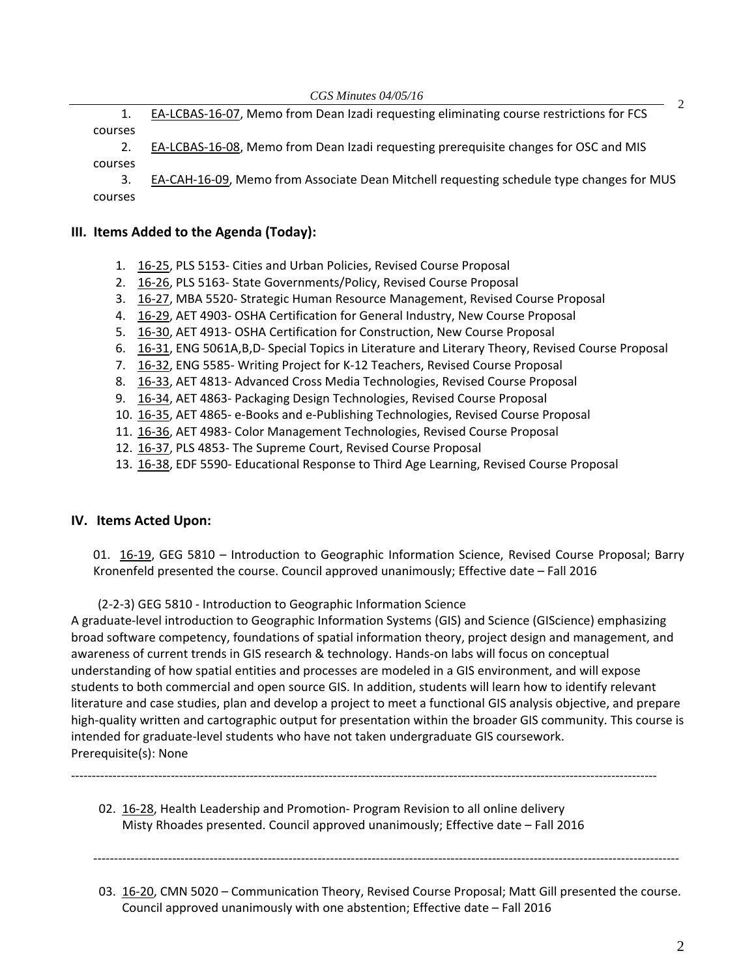1. EA-[LCBAS](http://castle.eiu.edu/~eiucgs/exec-actions/EA-LCBAS-16-07.pdf)-16-07, Memo from Dean Izadi requesting eliminating course restrictions for FCS courses

2. EA‐[LCBAS](http://castle.eiu.edu/~eiucgs/exec-actions/EA-LCBAS-16-08.pdf)‐16‐08, Memo from Dean Izadi requesting prerequisite changes for OSC and MIS courses

3. EA‐[CAH](http://castle.eiu.edu/~eiucgs/exec-actions/EA-CAH-16-09.pdf)‐16‐09, Memo from Associate Dean Mitchell requesting schedule type changes for MUS courses

#### **III. Items Added to the Agenda (Today):**

- 1. [16](http://castle.eiu.edu/~eiucgs/currentagendaitems/agenda16-25.pdf)‐25, PLS 5153‐ Cities and Urban Policies, Revised Course Proposal
- 2. [16](http://castle.eiu.edu/~eiucgs/currentagendaitems/agenda16-26.pdf)‐26, PLS 5163‐ State Governments/Policy, Revised Course Proposal
- 3. 16‐[27,](http://castle.eiu.edu/~eiucgs/currentagendaitems/agenda16-27.pdf) MBA 5520‐ Strategic Human Resource Management, Revised Course Proposal
- 4. 16‐[29,](http://castle.eiu.edu/~eiucgs/currentagendaitems/agenda16-29.pdf) AET 4903‐ OSHA Certification for General Industry, New Course Proposal
- 5. 16‐[30,](http://castle.eiu.edu/~eiucgs/currentagendaitems/agenda16-30.pdf) AET 4913‐ OSHA Certification for Construction, New Course Proposal
- 6. 16‐[31,](http://castle.eiu.edu/~eiucgs/currentagendaitems/agenda16-31.pdf) ENG 5061A,B,D‐ Special Topics in Literature and Literary Theory, Revised Course Proposal
- 7. [16](http://castle.eiu.edu/~eiucgs/currentagendaitems/agenda16-32.pdf)‐32, ENG 5585‐ Writing Project for K‐12 Teachers, Revised Course Proposal
- 8. 16‐[33,](http://castle.eiu.edu/~eiucgs/currentagendaitems/agenda16-33.pdf) AET 4813‐ Advanced Cross Media Technologies, Revised Course Proposal
- 9. 16‐[34,](http://castle.eiu.edu/~eiucgs/currentagendaitems/agenda16-34.pdf) AET 4863‐ Packaging Design Technologies, Revised Course Proposal
- 10. 16‐[35,](http://castle.eiu.edu/~eiucgs/currentagendaitems/agenda16-35.pdf) AET 4865‐ e‐Books and e‐Publishing Technologies, Revised Course Proposal
- 11. 16-[36,](http://castle.eiu.edu/~eiucgs/currentagendaitems/agenda16-36.pdf) AET 4983- Color Management Technologies, Revised Course Proposal
- 12[. 16](http://castle.eiu.edu/~eiucgs/currentagendaitems/agenda16-37.pdf)-37, PLS 4853- The Supreme Court, Revised Course Proposal
- 13[. 16](http://castle.eiu.edu/~eiucgs/currentagendaitems/agenda16-38.pdf)‐38, EDF 5590‐ Educational Response to Third Age Learning, Revised Course Proposal

#### **IV. Items Acted Upon:**

01. 16-[19,](http://castle.eiu.edu/~eiucgs/currentagendaitems/agenda16-19.pdf) GEG 5810 – Introduction to Geographic Information Science, Revised Course Proposal; Barry Kronenfeld presented the course. Council approved unanimously; Effective date – Fall 2016

(2‐2‐3) GEG 5810 ‐ Introduction to Geographic Information Science

A graduate‐level introduction to Geographic Information Systems (GIS) and Science (GIScience) emphasizing broad software competency, foundations of spatial information theory, project design and management, and awareness of current trends in GIS research & technology. Hands‐on labs will focus on conceptual understanding of how spatial entities and processes are modeled in a GIS environment, and will expose students to both commercial and open source GIS. In addition, students will learn how to identify relevant literature and case studies, plan and develop a project to meet a functional GIS analysis objective, and prepare high-quality written and cartographic output for presentation within the broader GIS community. This course is intended for graduate‐level students who have not taken undergraduate GIS coursework. Prerequisite(s): None

02[. 16](http://castle.eiu.edu/~eiucgs/currentagendaitems/agenda16-28.pdf)‐28, Health Leadership and Promotion‐ Program Revision to all online delivery Misty Rhoades presented. Council approved unanimously; Effective date – Fall 2016

‐‐‐‐‐‐‐‐‐‐‐‐‐‐‐‐‐‐‐‐‐‐‐‐‐‐‐‐‐‐‐‐‐‐‐‐‐‐‐‐‐‐‐‐‐‐‐‐‐‐‐‐‐‐‐‐‐‐‐‐‐‐‐‐‐‐‐‐‐‐‐‐‐‐‐‐‐‐‐‐‐‐‐‐‐‐‐‐‐‐‐‐‐‐‐‐‐‐‐‐‐‐‐‐‐‐‐‐‐‐‐‐‐‐‐‐‐‐‐‐‐‐‐‐‐‐‐‐‐‐‐‐‐‐‐‐‐‐‐‐‐

‐‐‐‐‐‐‐‐‐‐‐‐‐‐‐‐‐‐‐‐‐‐‐‐‐‐‐‐‐‐‐‐‐‐‐‐‐‐‐‐‐‐‐‐‐‐‐‐‐‐‐‐‐‐‐‐‐‐‐‐‐‐‐‐‐‐‐‐‐‐‐‐‐‐‐‐‐‐‐‐‐‐‐‐‐‐‐‐‐‐‐‐‐‐‐‐‐‐‐‐‐‐‐‐‐‐‐‐‐‐‐‐‐‐‐‐‐‐‐‐‐‐‐‐‐‐‐‐‐‐‐‐‐‐‐‐‐‐‐‐‐

03. 16‐[20,](http://castle.eiu.edu/~eiucgs/currentagendaitems/agenda16-20.pdf) CMN 5020 – Communication Theory, Revised Course Proposal; Matt Gill presented the course. Council approved unanimously with one abstention; Effective date – Fall 2016

2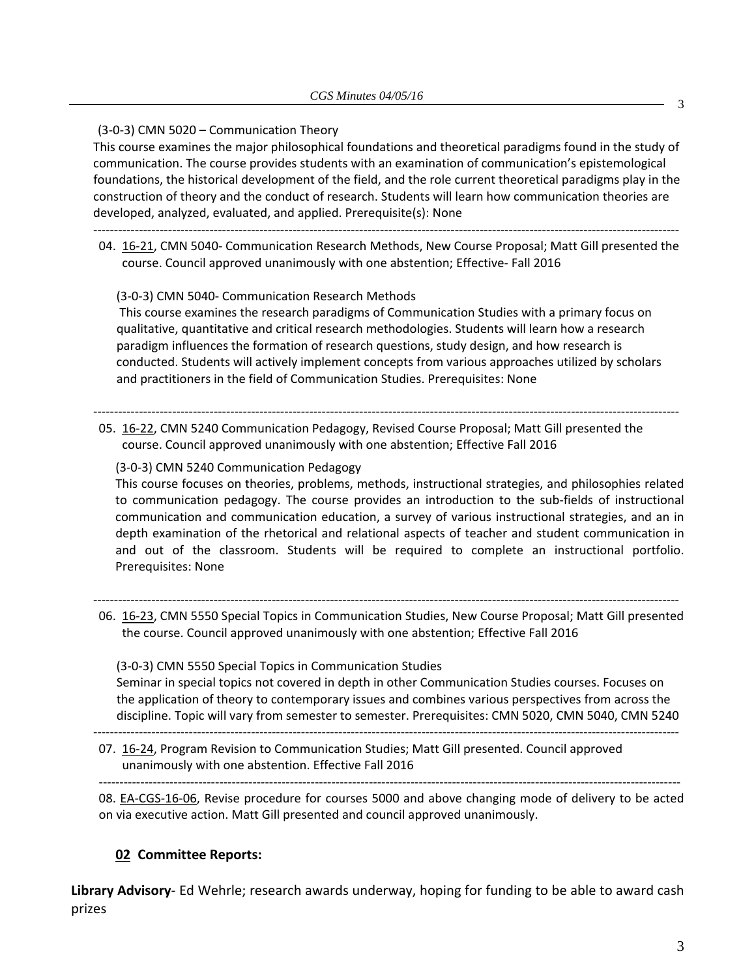(3‐0‐3) CMN 5020 – Communication Theory

This course examines the major philosophical foundations and theoretical paradigms found in the study of communication. The course provides students with an examination of communication's epistemological foundations, the historical development of the field, and the role current theoretical paradigms play in the construction of theory and the conduct of research. Students will learn how communication theories are developed, analyzed, evaluated, and applied. Prerequisite(s): None

‐‐‐‐‐‐‐‐‐‐‐‐‐‐‐‐‐‐‐‐‐‐‐‐‐‐‐‐‐‐‐‐‐‐‐‐‐‐‐‐‐‐‐‐‐‐‐‐‐‐‐‐‐‐‐‐‐‐‐‐‐‐‐‐‐‐‐‐‐‐‐‐‐‐‐‐‐‐‐‐‐‐‐‐‐‐‐‐‐‐‐‐‐‐‐‐‐‐‐‐‐‐‐‐‐‐‐‐‐‐‐‐‐‐‐‐‐‐‐‐‐‐‐‐‐‐‐‐‐‐‐‐‐‐‐‐‐‐‐‐‐

04. 16‐[21,](http://castle.eiu.edu/~eiucgs/currentagendaitems/agenda16-21.pdf) CMN 5040‐ Communication Research Methods, New Course Proposal; Matt Gill presented the course. Council approved unanimously with one abstention; Effective‐ Fall 2016

(3‐0‐3) CMN 5040‐ Communication Research Methods

This course examines the research paradigms of Communication Studies with a primary focus on qualitative, quantitative and critical research methodologies. Students will learn how a research paradigm influences the formation of research questions, study design, and how research is conducted. Students will actively implement concepts from various approaches utilized by scholars and practitioners in the field of Communication Studies. Prerequisites: None

‐‐‐‐‐‐‐‐‐‐‐‐‐‐‐‐‐‐‐‐‐‐‐‐‐‐‐‐‐‐‐‐‐‐‐‐‐‐‐‐‐‐‐‐‐‐‐‐‐‐‐‐‐‐‐‐‐‐‐‐‐‐‐‐‐‐‐‐‐‐‐‐‐‐‐‐‐‐‐‐‐‐‐‐‐‐‐‐‐‐‐‐‐‐‐‐‐‐‐‐‐‐‐‐‐‐‐‐‐‐‐‐‐‐‐‐‐‐‐‐‐‐‐‐‐‐‐‐‐‐‐‐‐‐‐‐‐‐‐‐‐ 05. 16‐[22,](http://castle.eiu.edu/~eiucgs/currentagendaitems/agenda16-22.pdf) CMN 5240 Communication Pedagogy, Revised Course Proposal; Matt Gill presented the course. Council approved unanimously with one abstention; Effective Fall 2016

(3‐0‐3) CMN 5240 Communication Pedagogy

This course focuses on theories, problems, methods, instructional strategies, and philosophies related to communication pedagogy. The course provides an introduction to the sub‐fields of instructional communication and communication education, a survey of various instructional strategies, and an in depth examination of the rhetorical and relational aspects of teacher and student communication in and out of the classroom. Students will be required to complete an instructional portfolio. Prerequisites: None

‐‐‐‐‐‐‐‐‐‐‐‐‐‐‐‐‐‐‐‐‐‐‐‐‐‐‐‐‐‐‐‐‐‐‐‐‐‐‐‐‐‐‐‐‐‐‐‐‐‐‐‐‐‐‐‐‐‐‐‐‐‐‐‐‐‐‐‐‐‐‐‐‐‐‐‐‐‐‐‐‐‐‐‐‐‐‐‐‐‐‐‐‐‐‐‐‐‐‐‐‐‐‐‐‐‐‐‐‐‐‐‐‐‐‐‐‐‐‐‐‐‐‐‐‐‐‐‐‐‐‐‐‐‐‐‐‐‐‐‐‐ 06. [16](http://castle.eiu.edu/~eiucgs/currentagendaitems/agenda16-23.pdf)-23, CMN 5550 Special Topics in Communication Studies, New Course Proposal; Matt Gill presented the course. Council approved unanimously with one abstention; Effective Fall 2016

(3‐0‐3) CMN 5550 Special Topics in Communication Studies Seminar in special topics not covered in depth in other Communication Studies courses. Focuses on the application of theory to contemporary issues and combines various perspectives from across the discipline. Topic will vary from semester to semester. Prerequisites: CMN 5020, CMN 5040, CMN 5240

‐‐‐‐‐‐‐‐‐‐‐‐‐‐‐‐‐‐‐‐‐‐‐‐‐‐‐‐‐‐‐‐‐‐‐‐‐‐‐‐‐‐‐‐‐‐‐‐‐‐‐‐‐‐‐‐‐‐‐‐‐‐‐‐‐‐‐‐‐‐‐‐‐‐‐‐‐‐‐‐‐‐‐‐‐‐‐‐‐‐‐‐‐‐‐‐‐‐‐‐‐‐‐‐‐‐‐‐‐‐‐‐‐‐‐‐‐‐‐‐‐‐‐‐‐‐‐‐‐‐‐‐‐‐‐‐‐‐‐‐‐ 07. [16](http://castle.eiu.edu/~eiucgs/currentagendaitems/agenda16-24.pdf)-24, Program Revision to Communication Studies; Matt Gill presented. Council approved unanimously with one abstention. Effective Fall 2016

‐‐‐‐‐‐‐‐‐‐‐‐‐‐‐‐‐‐‐‐‐‐‐‐‐‐‐‐‐‐‐‐‐‐‐‐‐‐‐‐‐‐‐‐‐‐‐‐‐‐‐‐‐‐‐‐‐‐‐‐‐‐‐‐‐‐‐‐‐‐‐‐‐‐‐‐‐‐‐‐‐‐‐‐‐‐‐‐‐‐‐‐‐‐‐‐‐‐‐‐‐‐‐‐‐‐‐‐‐‐‐‐‐‐‐‐‐‐‐‐‐‐‐‐‐‐‐‐‐‐‐‐‐‐‐‐‐‐‐‐ 08. EA-[CGS](http://castle.eiu.edu/~eiucgs/exec-actions/EA-CGS-16-06.pdf)-16-06, Revise procedure for courses 5000 and above changing mode of delivery to be acted on via executive action. Matt Gill presented and council approved unanimously.

#### **02 Committee Reports:**

**Library Advisory**‐ Ed Wehrle; research awards underway, hoping for funding to be able to award cash prizes

3